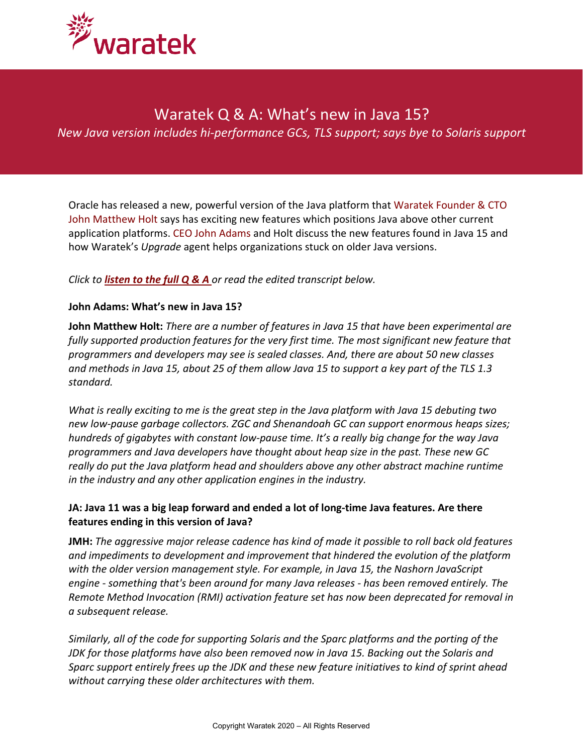

# Waratek Q & A: What's new in Java 15?

*New Java version includes hi-performance GCs, TLS support; says bye to Solaris support*

Oracle has released a new, powerful version of the Java platform that Waratek Founder & CTO John Matthew Holt says has exciting new features which positions Java above other current application platforms. CEO John Adams and Holt discuss the new features found in Java 15 and how Waratek's *Upgrade* agent helps organizations stuck on older Java versions.

## *Click to [listen to the full Q](https://www.waratek.com/wp-content/uploads/2020/11/Java-15-Master.mp3) & A or read the edited transcript below.*

#### **John Adams: What's new in Java 15?**

**John Matthew Holt:** *There are a number of features in Java 15 that have been experimental are fully supported production features for the very first time. The most significant new feature that programmers and developers may see is sealed classes. And, there are about 50 new classes and methods in Java 15, about 25 of them allow Java 15 to support a key part of the TLS 1.3 standard.* 

*What is really exciting to me is the great step in the Java platform with Java 15 debuting two new low-pause garbage collectors. ZGC and Shenandoah GC can support enormous heaps sizes; hundreds of gigabytes with constant low-pause time. It's a really big change for the way Java programmers and Java developers have thought about heap size in the past. These new GC really do put the Java platform head and shoulders above any other abstract machine runtime in the industry and any other application engines in the industry.*

## **JA: Java 11 was a big leap forward and ended a lot of long-time Java features. Are there features ending in this version of Java?**

**JMH:** *The aggressive major release cadence has kind of made it possible to roll back old features and impediments to development and improvement that hindered the evolution of the platform with the older version management style. For example, in Java 15, the Nashorn JavaScript engine - something that's been around for many Java releases - has been removed entirely. The Remote Method Invocation (RMI) activation feature set has now been deprecated for removal in a subsequent release.*

*Similarly, all of the code for supporting Solaris and the Sparc platforms and the porting of the JDK for those platforms have also been removed now in Java 15. Backing out the Solaris and Sparc support entirely frees up the JDK and these new feature initiatives to kind of sprint ahead without carrying these older architectures with them.*